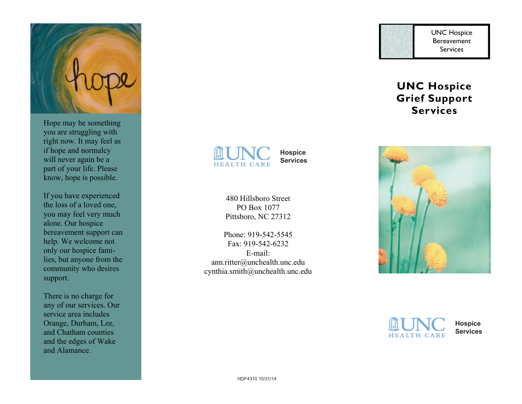

Hope may be something you are struggling with right now. It may feel as if hope and normalcy will never again be a part of your life. Please know, hope is possible. you are struggling with<br>right now. It may feel as<br>if hope and normalcy<br>will never again be a

If you have experienced the loss of a loved one, you may feel very much alone. Our hospice bereavement support can help. We welcome not only our hospice families, but anyone from the only our hospice fami-<br>lies, but anyone from the<br>community who desires support. part of your life. Please<br>know, hope is possible.<br>If you have experienced<br>the loss of a loved one,<br>you may feel very much<br>alone. Our hospice<br>bereavement support can

There is no charge for any of our services. Our any of our services. service area includes Orange, Durham, Lee, and Chatham counties and the edges of Wake and Alamance. Orange, Durham, Lee,<br>and Chatham counties<br>and the edges of Wake<br>and Alamance.

**HEALTH CARE** 

**Hospice Services**

480 Hillsboro Street PO Box 1077 Pittsboro, NC 27312

Phone: 919-542-5545 Fax: 919-542-6232 E-mail: Phone: 919-542-5545<br>
Fax: 919-542-6232<br>
E-mail:<br>
ann.ritter@unchealth.unc.edu cynthia.smith@unchealth.unc.edu

UNC Hospice Bereavement Services Services

# **UNC Hospice UNC Hospice Grief Support Services**  UNC Hospice<br>
Bereavement<br>
Services<br> **Grief Support<br>
Services**





**Hospice Services**